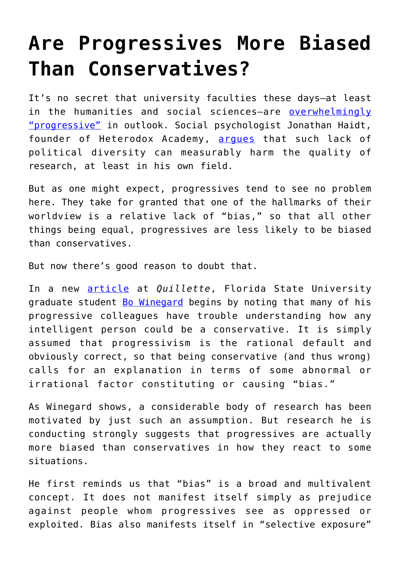## **[Are Progressives More Biased](https://intellectualtakeout.org/2018/02/are-progressives-more-biased-than-conservatives/) [Than Conservatives?](https://intellectualtakeout.org/2018/02/are-progressives-more-biased-than-conservatives/)**

It's no secret that university faculties these days—at least in the humanities and social sciences-are [overwhelmingly](http://www.latimes.com/opinion/op-ed/la-oe-gross-academia-conservatives-hiring-20160520-snap-story.html) ["progressive"](http://www.latimes.com/opinion/op-ed/la-oe-gross-academia-conservatives-hiring-20160520-snap-story.html) in outlook. Social psychologist Jonathan Haidt, founder of Heterodox Academy, arques that such lack of political diversity can measurably harm the quality of research, at least in his own field.

But as one might expect, progressives tend to see no problem here. They take for granted that one of the hallmarks of their worldview is a relative lack of "bias," so that all other things being equal, progressives are less likely to be biased than conservatives.

But now there's good reason to doubt that.

In a new [article](http://quillette.com/2018/02/07/equalitarianism-progressive-bias/) at *Quillette*, Florida State University graduate student **Bo Winegard** begins by noting that many of his progressive colleagues have trouble understanding how any intelligent person could be a conservative. It is simply assumed that progressivism is the rational default and obviously correct, so that being conservative (and thus wrong) calls for an explanation in terms of some abnormal or irrational factor constituting or causing "bias."

As Winegard shows, a considerable body of research has been motivated by just such an assumption. But research he is conducting strongly suggests that progressives are actually more biased than conservatives in how they react to some situations.

He first reminds us that "bias" is a broad and multivalent concept. It does not manifest itself simply as prejudice against people whom progressives see as oppressed or exploited. Bias also manifests itself in "selective exposure"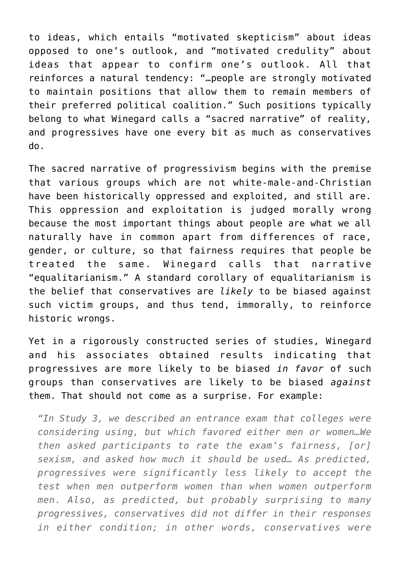to ideas, which entails "motivated skepticism" about ideas opposed to one's outlook, and "motivated credulity" about ideas that appear to confirm one's outlook. All that reinforces a natural tendency: "…people are strongly motivated to maintain positions that allow them to remain members of their preferred political coalition." Such positions typically belong to what Winegard calls a "sacred narrative" of reality, and progressives have one every bit as much as conservatives do.

The sacred narrative of progressivism begins with the premise that various groups which are not white-male-and-Christian have been historically oppressed and exploited, and still are. This oppression and exploitation is judged morally wrong because the most important things about people are what we all naturally have in common apart from differences of race, gender, or culture, so that fairness requires that people be treated the same. Winegard calls that narrative "equalitarianism." A standard corollary of equalitarianism is the belief that conservatives are *likely* to be biased against such victim groups, and thus tend, immorally, to reinforce historic wrongs.

Yet in a rigorously constructed series of studies, Winegard and his associates obtained results indicating that progressives are more likely to be biased *in favor* of such groups than conservatives are likely to be biased *against* them. That should not come as a surprise. For example:

*"In Study 3, we described an entrance exam that colleges were considering using, but which favored either men or women…We then asked participants to rate the exam's fairness, [or] sexism, and asked how much it should be used… As predicted, progressives were significantly less likely to accept the test when men outperform women than when women outperform men. Also, as predicted, but probably surprising to many progressives, conservatives did not differ in their responses in either condition; in other words, conservatives were*